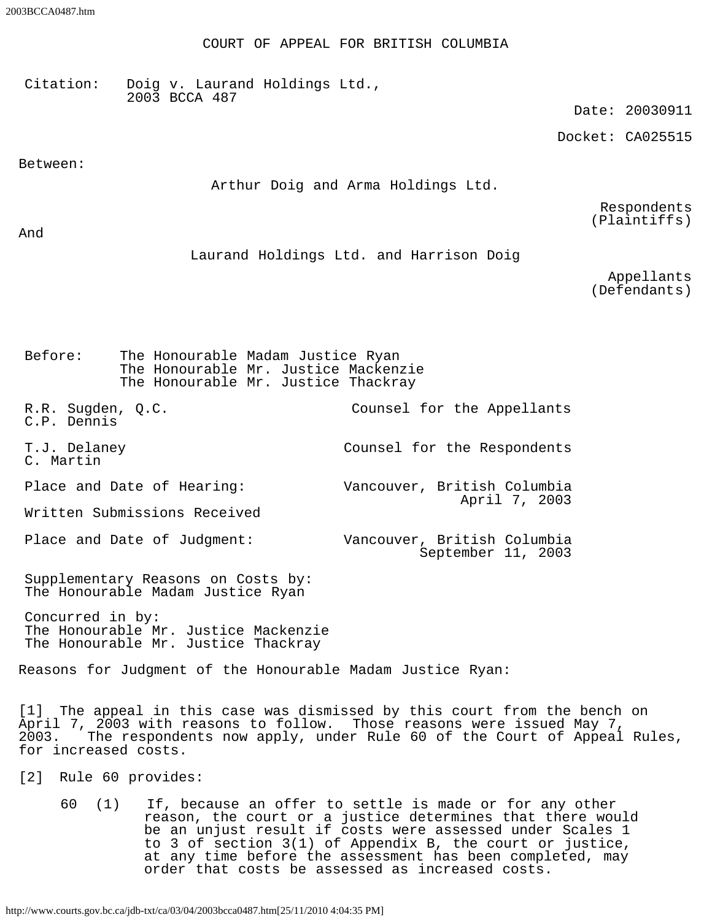COURT OF APPEAL FOR BRITISH COLUMBIA

Citation: Doig v. Laurand Holdings Ltd., 2003 BCCA 487

Date: 20030911

Docket: CA025515

Between:

Arthur Doig and Arma Holdings Ltd.

Respondents (Plaintiffs)

And

Laurand Holdings Ltd. and Harrison Doig

Appellants (Defendants)

Before: The Honourable Madam Justice Ryan The Honourable Mr. Justice Mackenzie The Honourable Mr. Justice Thackray

R.R. Sugden, Q.C. C.P. Dennis Counsel for the Appellants T.J. Delaney C. Martin Counsel for the Respondents Place and Date of Hearing: Vancouver, British Columbia April 7, 2003 Written Submissions Received

Place and Date of Judgment: Vancouver, British Columbia September 11, 2003

Supplementary Reasons on Costs by: The Honourable Madam Justice Ryan

Concurred in by: The Honourable Mr. Justice Mackenzie The Honourable Mr. Justice Thackray

Reasons for Judgment of the Honourable Madam Justice Ryan:

[1] The appeal in this case was dismissed by this court from the bench on April 7, 2003 with reasons to follow. Those reasons were issued May 7, 2003. The respondents now apply, under Rule 60 of the Court of Appeal Rules, for increased costs.

[2] Rule 60 provides:

60 (1) If, because an offer to settle is made or for any other reason, the court or a justice determines that there would be an unjust result if costs were assessed under Scales 1 to 3 of section 3(1) of Appendix B, the court or justice, at any time before the assessment has been completed, may order that costs be assessed as increased costs.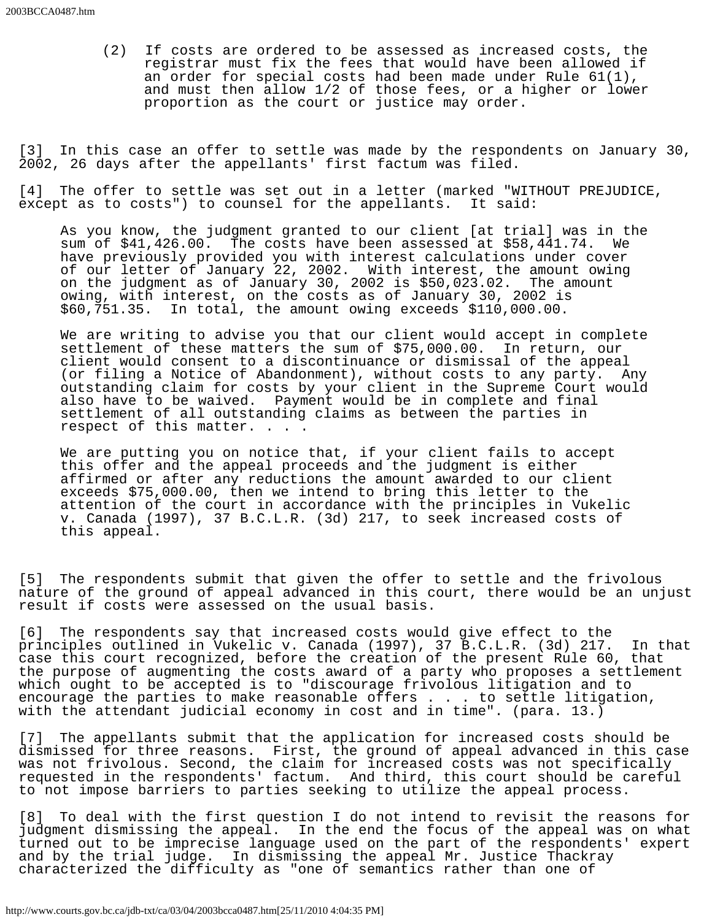(2) If costs are ordered to be assessed as increased costs, the registrar must fix the fees that would have been allowed if an order for special costs had been made under Rule 61(1), and must then allow 1/2 of those fees, or a higher or lower proportion as the court or justice may order.

[3] In this case an offer to settle was made by the respondents on January 30, 2002, 26 days after the appellants' first factum was filed.

[4] The offer to settle was set out in a letter (marked "WITHOUT PREJUDICE, except as to costs") to counsel for the appellants. It said:

As you know, the judgment granted to our client [at trial] was in the sum of \$41,426.00. The costs have been assessed at \$58,441.74. We have previously provided you with interest calculations under cover of our letter of January 22, 2002. With interest, the amount owing on the judgment as of January 30, 2002 is \$50,023.02. The amount owing, with interest, on the costs as of January 30, 2002 is \$60,751.35. In total, the amount owing exceeds \$110,000.00.

We are writing to advise you that our client would accept in complete settlement of these matters the sum of \$75,000.00. In return, our client would consent to a discontinuance or dismissal of the appeal (or filing a Notice of Abandonment), without costs to any party. Any outstanding claim for costs by your client in the Supreme Court would also have to be waived. Payment would be in complete and final settlement of all outstanding claims as between the parties in respect of this matter. . . .

We are putting you on notice that, if your client fails to accept this offer and the appeal proceeds and the judgment is either affirmed or after any reductions the amount awarded to our client exceeds \$75,000.00, then we intend to bring this letter to the attention of the court in accordance with the principles in Vukelic v. Canada (1997), 37 B.C.L.R. (3d) 217, to seek increased costs of this appeal.

[5] The respondents submit that given the offer to settle and the frivolous nature of the ground of appeal advanced in this court, there would be an unjust result if costs were assessed on the usual basis.

[6] The respondents say that increased costs would give effect to the principles outlined in Vukelic v. Canada (1997), 37 B.C.L.R. (3d) 217. In that case this court recognized, before the creation of the present Rule 60, that the purpose of augmenting the costs award of a party who proposes a settlement which ought to be accepted is to "discourage frivolous litigation and to encourage the parties to make reasonable offers . . . to settle litigation, with the attendant judicial economy in cost and in time". (para. 13.)

[7] The appellants submit that the application for increased costs should be dismissed for three reasons. First, the ground of appeal advanced in this case was not frivolous. Second, the claim for increased costs was not specifically requested in the respondents' factum. And third, this court should be careful to not impose barriers to parties seeking to utilize the appeal process.

[8] To deal with the first question I do not intend to revisit the reasons for judgment dismissing the appeal. In the end the focus of the appeal was on what turned out to be imprecise language used on the part of the respondents' expert and by the trial judge. In dismissing the appeal Mr. Justice Thackray characterized the difficulty as "one of semantics rather than one of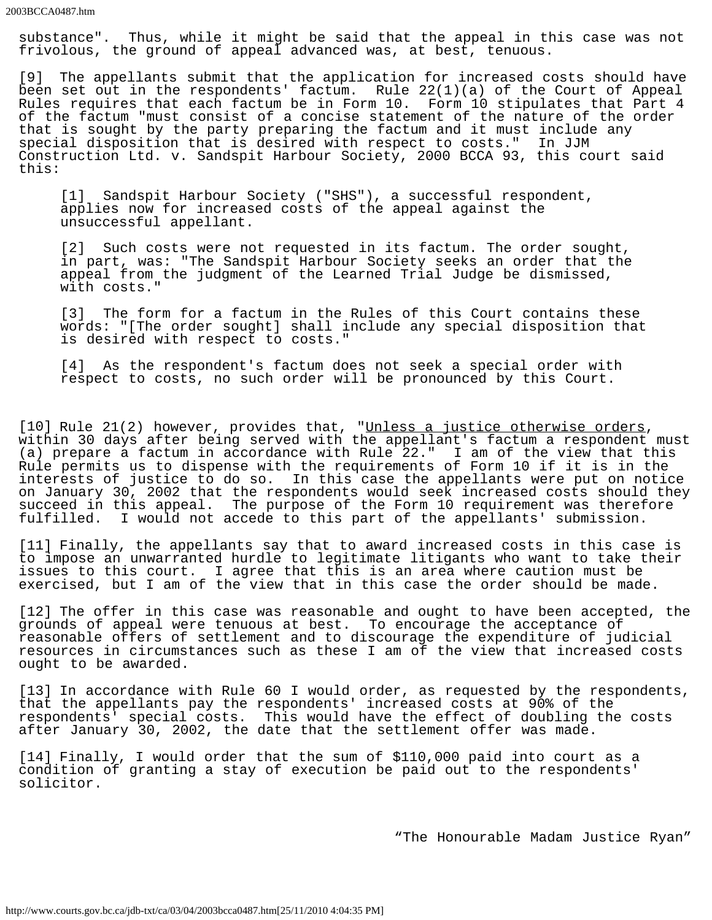substance". Thus, while it might be said that the appeal in this case was not frivolous, the ground of appeal advanced was, at best, tenuous.

[9] The appellants submit that the application for increased costs should have been set out in the respondents' factum. Rule 22(1)(a) of the Court of Appeal Rules requires that each factum be in Form 10. Form 10 stipulates that Part 4 of the factum "must consist of a concise statement of the nature of the order that is sought by the party preparing the factum and it must include any special disposition that is desired with respect to costs." In JJM Construction Ltd. v. Sandspit Harbour Society, 2000 BCCA 93, this court said this:

[1] Sandspit Harbour Society ("SHS"), a successful respondent, applies now for increased costs of the appeal against the unsuccessful appellant.

[2] Such costs were not requested in its factum. The order sought, in part, was: "The Sandspit Harbour Society seeks an order that the appeal from the judgment of the Learned Trial Judge be dismissed, with costs."

[3] The form for a factum in the Rules of this Court contains these words: "[The order sought] shall include any special disposition that is desired with respect to costs."

[4] As the respondent's factum does not seek a special order with respect to costs, no such order will be pronounced by this Court.

[10] Rule 21(2) however, provides that, "Unless a justice otherwise orders,<br>within 30 days after being served with the appellant's factum a respondent must (a) prepare a factum in accordance with Rule 22." I am of the view that this Rule permits us to dispense with the requirements of Form 10 if it is in the interests of justice to do so. In this case the appellants were put on notice on January 30, 2002 that the respondents would seek increased costs should they succeed in this appeal. The purpose of the Form 10 requirement was therefore fulfilled. I would not accede to this part of the appellants' submission.

[11] Finally, the appellants say that to award increased costs in this case is to impose an unwarranted hurdle to legitimate litigants who want to take their issues to this court. I agree that this is an area where caution must be exercised, but I am of the view that in this case the order should be made.

[12] The offer in this case was reasonable and ought to have been accepted, the grounds of appeal were tenuous at best. To encourage the acceptance of reasonable offers of settlement and to discourage the expenditure of judicial resources in circumstances such as these I am of the view that increased costs ought to be awarded.

[13] In accordance with Rule 60 I would order, as requested by the respondents, that the appellants pay the respondents' increased costs at 90% of the respondents' special costs. This would have the effect of doubling the costs after January 30, 2002, the date that the settlement offer was made.

[14] Finally, I would order that the sum of \$110,000 paid into court as a condition of granting a stay of execution be paid out to the respondents' solicitor.

"The Honourable Madam Justice Ryan"